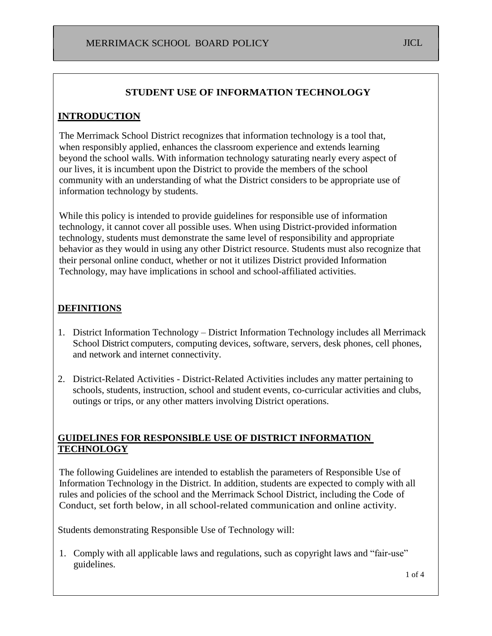### **STUDENT USE OF INFORMATION TECHNOLOGY**

### **INTRODUCTION**

The Merrimack School District recognizes that information technology is a tool that, when responsibly applied, enhances the classroom experience and extends learning beyond the school walls. With information technology saturating nearly every aspect of our lives, it is incumbent upon the District to provide the members of the school community with an understanding of what the District considers to be appropriate use of information technology by students.

While this policy is intended to provide guidelines for responsible use of information technology, it cannot cover all possible uses. When using District-provided information technology, students must demonstrate the same level of responsibility and appropriate behavior as they would in using any other District resource. Students must also recognize that their personal online conduct, whether or not it utilizes District provided Information Technology, may have implications in school and school-affiliated activities.

#### **DEFINITIONS**

- 1. District Information Technology District Information Technology includes all Merrimack School District computers, computing devices, software, servers, desk phones, cell phones, and network and internet connectivity.
- 2. District-Related Activities District-Related Activities includes any matter pertaining to schools, students, instruction, school and student events, co-curricular activities and clubs, outings or trips, or any other matters involving District operations.

### **GUIDELINES FOR RESPONSIBLE USE OF DISTRICT INFORMATION TECHNOLOGY**

The following Guidelines are intended to establish the parameters of Responsible Use of Information Technology in the District. In addition, students are expected to comply with all rules and policies of the school and the Merrimack School District, including the Code of Conduct, set forth below, in all school-related communication and online activity.

Students demonstrating Responsible Use of Technology will:

1. Comply with all applicable laws and regulations, such as copyright laws and "fair-use" guidelines.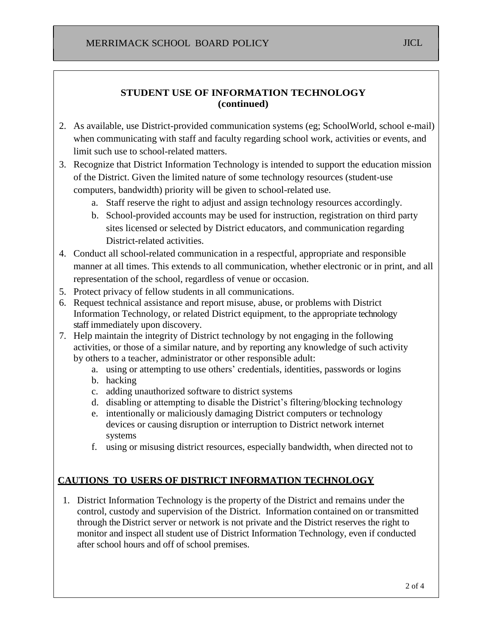## **STUDENT USE OF INFORMATION TECHNOLOGY (continued)**

- 2. As available, use District-provided communication systems (eg; SchoolWorld, school e-mail) when communicating with staff and faculty regarding school work, activities or events, and limit such use to school-related matters.
- 3. Recognize that District Information Technology is intended to support the education mission of the District. Given the limited nature of some technology resources (student-use computers, bandwidth) priority will be given to school-related use.
	- a. Staff reserve the right to adjust and assign technology resources accordingly.
	- b. School-provided accounts may be used for instruction, registration on third party sites licensed or selected by District educators, and communication regarding District-related activities.
- 4. Conduct all school-related communication in a respectful, appropriate and responsible manner at all times. This extends to all communication, whether electronic or in print, and all representation of the school, regardless of venue or occasion.
- 5. Protect privacy of fellow students in all communications.
- 6. Request technical assistance and report misuse, abuse, or problems with District Information Technology, or related District equipment, to the appropriate technology staff immediately upon discovery.
- 7. Help maintain the integrity of District technology by not engaging in the following activities, or those of a similar nature, and by reporting any knowledge of such activity by others to a teacher, administrator or other responsible adult:
	- a. using or attempting to use others' credentials, identities, passwords or logins
	- b. hacking
	- c. adding unauthorized software to district systems
	- d. disabling or attempting to disable the District's filtering/blocking technology
	- e. intentionally or maliciously damaging District computers or technology devices or causing disruption or interruption to District network internet systems
	- f. using or misusing district resources, especially bandwidth, when directed not to

# **CAUTIONS TO USERS OF DISTRICT INFORMATION TECHNOLOGY**

1. District Information Technology is the property of the District and remains under the control, custody and supervision of the District. Information contained on or transmitted through the District server or network is not private and the District reserves the right to monitor and inspect all student use of District Information Technology, even if conducted after school hours and off of school premises.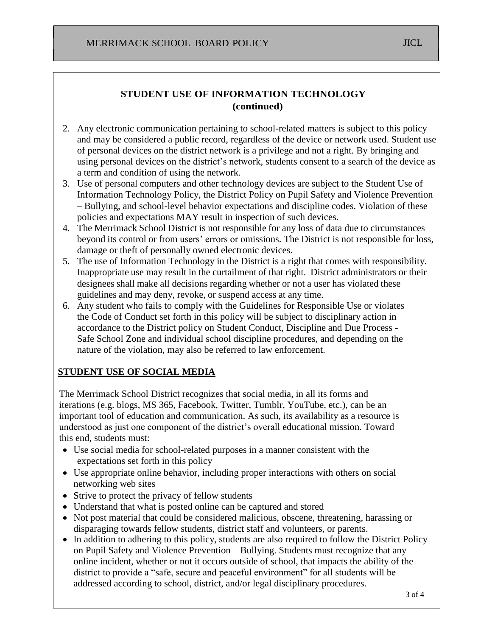# **STUDENT USE OF INFORMATION TECHNOLOGY (continued)**

- 2. Any electronic communication pertaining to school-related matters is subject to this policy and may be considered a public record, regardless of the device or network used. Student use of personal devices on the district network is a privilege and not a right. By bringing and using personal devices on the district's network, students consent to a search of the device as a term and condition of using the network.
- 3. Use of personal computers and other technology devices are subject to the Student Use of Information Technology Policy, the District Policy on Pupil Safety and Violence Prevention – Bullying, and school-level behavior expectations and discipline codes. Violation of these policies and expectations MAY result in inspection of such devices.
- 4. The Merrimack School District is not responsible for any loss of data due to circumstances beyond its control or from users' errors or omissions. The District is not responsible for loss, damage or theft of personally owned electronic devices.
- 5. The use of Information Technology in the District is a right that comes with responsibility. Inappropriate use may result in the curtailment of that right. District administrators or their designees shall make all decisions regarding whether or not a user has violated these guidelines and may deny, revoke, or suspend access at any time.
- 6. Any student who fails to comply with the Guidelines for Responsible Use or violates the Code of Conduct set forth in this policy will be subject to disciplinary action in accordance to the District policy on [Student Conduct, Discipline and Due Process -](http://www.merrimack.k12.nh.us/files/filesystem/Student%20Conduct,%20Discipline%20and%20Due%20Process%20Policy.pdf) [Safe School Zone](http://www.merrimack.k12.nh.us/files/filesystem/Student%20Conduct,%20Discipline%20and%20Due%20Process%20Policy.pdf) and individual school discipline procedures, and depending on the nature of the violation, may also be referred to law enforcement.

## **STUDENT USE OF SOCIAL MEDIA**

The Merrimack School District recognizes that social media, in all its forms and iterations (e.g. blogs, MS 365, Facebook, Twitter, Tumblr, YouTube, etc.), can be an important tool of education and communication. As such, its availability as a resource is understood as just one component of the district's overall educational mission. Toward this end, students must:

- Use social media for school-related purposes in a manner consistent with the expectations set forth in this policy
- Use appropriate online behavior, including proper interactions with others on social networking web sites
- Strive to protect the privacy of fellow students
- Understand that what is posted online can be captured and stored
- Not post material that could be considered malicious, obscene, threatening, harassing or disparaging towards fellow students, district staff and volunteers, or parents.
- In addition to adhering to this policy, students are also required to follow the District Policy [on Pupil Safety and Violence Prevention –](http://www.merrimack.k12.nh.us/files/filesystem/Pupil%20Safety%20Violence%20Prevention%20_Bullying_%20Policy.pdf) Bullying. Students must recognize that any online incident, whether or not it occurs outside of school, that impacts the ability of the district to provide a "safe, secure and peaceful environment" for all students will be addressed according to school, district, and/or legal disciplinary procedures.